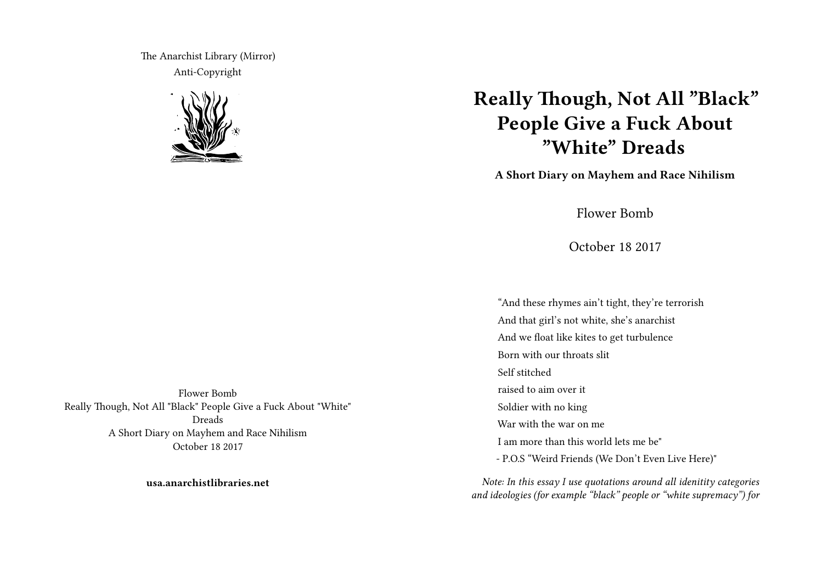The Anarchist Library (Mirror) Anti-Copyright



## **Really Though, Not All "Black" People Give a Fuck About "White" Dreads**

**A Short Diary on Mayhem and Race Nihilism**

Flower Bomb

October 18 2017

"And these rhymes ain't tight, they're terrorish And that girl's not white, she's anarchist And we float like kites to get turbulence Born with our throats slit Self stitched raised to aim over it Soldier with no king War with the war on me I am more than this world lets me be" - P.O.S "Weird Friends (We Don't Even Live Here)"

*Note: In this essay I use quotations around all idenitity categories and ideologies (for example "black" people or "white supremacy") for*

Flower Bomb Really Though, Not All "Black" People Give a Fuck About "White" Dreads A Short Diary on Mayhem and Race Nihilism October 18 2017

**usa.anarchistlibraries.net**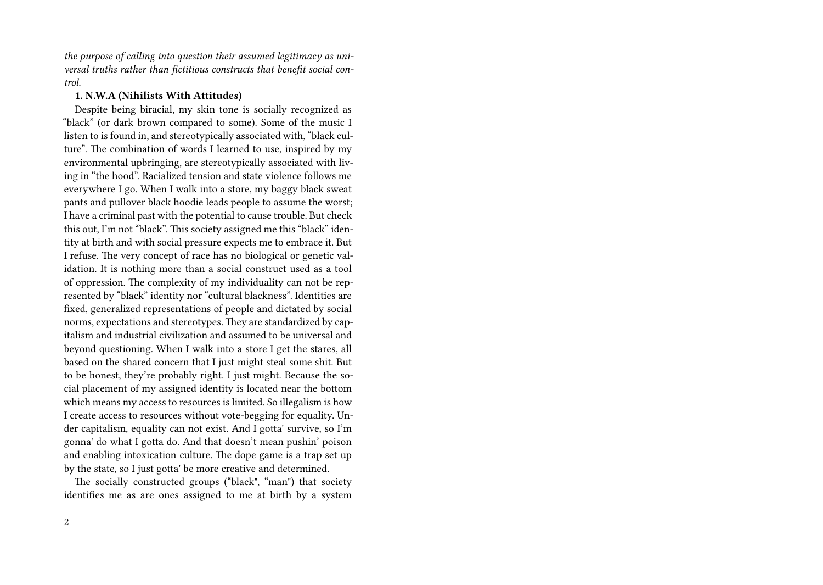*the purpose of calling into question their assumed legitimacy as universal truths rather than fictitious constructs that benefit social control.*

## **1. N.W.A (Nihilists With Attitudes)**

Despite being biracial, my skin tone is socially recognized as "black" (or dark brown compared to some). Some of the music I listen to is found in, and stereotypically associated with, "black culture". The combination of words I learned to use, inspired by my environmental upbringing, are stereotypically associated with living in "the hood". Racialized tension and state violence follows me everywhere I go. When I walk into a store, my baggy black sweat pants and pullover black hoodie leads people to assume the worst; I have a criminal past with the potential to cause trouble. But check this out, I'm not "black". This society assigned me this "black" identity at birth and with social pressure expects me to embrace it. But I refuse. The very concept of race has no biological or genetic validation. It is nothing more than a social construct used as a tool of oppression. The complexity of my individuality can not be represented by "black" identity nor "cultural blackness". Identities are fixed, generalized representations of people and dictated by social norms, expectations and stereotypes. They are standardized by capitalism and industrial civilization and assumed to be universal and beyond questioning. When I walk into a store I get the stares, all based on the shared concern that I just might steal some shit. But to be honest, they're probably right. I just might. Because the social placement of my assigned identity is located near the bottom which means my access to resources is limited. So illegalism is how I create access to resources without vote-begging for equality. Under capitalism, equality can not exist. And I gotta' survive, so I'm gonna' do what I gotta do. And that doesn't mean pushin' poison and enabling intoxication culture. The dope game is a trap set up by the state, so I just gotta' be more creative and determined.

The socially constructed groups ("black", "man") that society identifies me as are ones assigned to me at birth by a system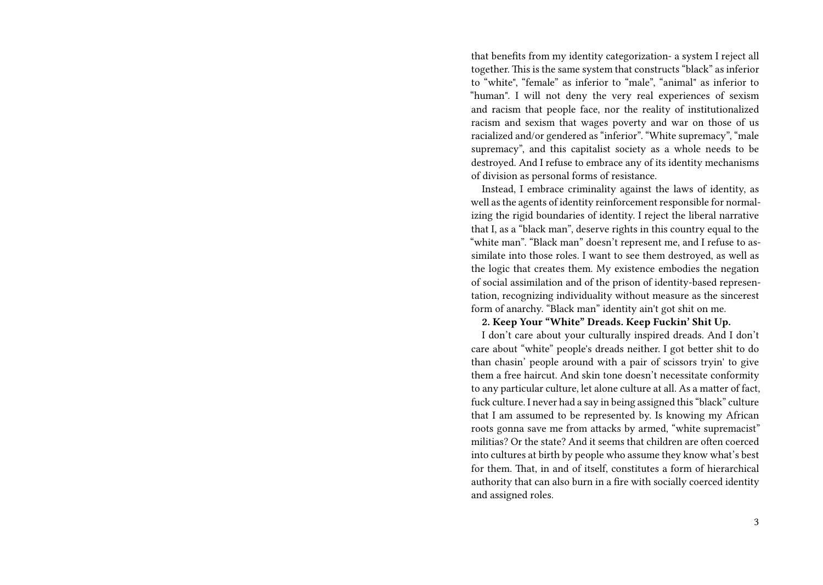that benefits from my identity categorization- a system I reject all together. This is the same system that constructs "black" as inferior to "white", "female" as inferior to "male", "animal" as inferior to "human". I will not deny the very real experiences of sexism and racism that people face, nor the reality of institutionalized racism and sexism that wages poverty and war on those of us racialized and/or gendered as "inferior". "White supremacy", "male supremacy", and this capitalist society as a whole needs to be destroyed. And I refuse to embrace any of its identity mechanisms of division as personal forms of resistance.

Instead, I embrace criminality against the laws of identity, as well as the agents of identity reinforcement responsible for normalizing the rigid boundaries of identity. I reject the liberal narrative that I, as a "black man", deserve rights in this country equal to the "white man". "Black man" doesn't represent me, and I refuse to assimilate into those roles. I want to see them destroyed, as well as the logic that creates them. My existence embodies the negation of social assimilation and of the prison of identity-based representation, recognizing individuality without measure as the sincerest form of anarchy. "Black man" identity ain't got shit on me.

## **2. Keep Your "White" Dreads. Keep Fuckin' Shit Up.**

I don't care about your culturally inspired dreads. And I don't care about "white" people's dreads neither. I got better shit to do than chasin' people around with a pair of scissors tryin' to give them a free haircut. And skin tone doesn't necessitate conformity to any particular culture, let alone culture at all. As a matter of fact, fuck culture. I never had a say in being assigned this "black" culture that I am assumed to be represented by. Is knowing my African roots gonna save me from attacks by armed, "white supremacist" militias? Or the state? And it seems that children are often coerced into cultures at birth by people who assume they know what's best for them. That, in and of itself, constitutes a form of hierarchical authority that can also burn in a fire with socially coerced identity and assigned roles.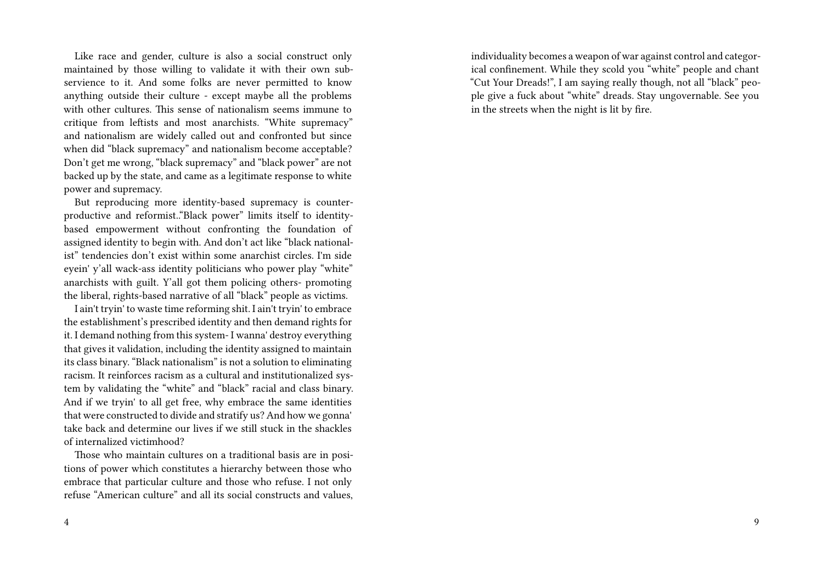Like race and gender, culture is also a social construct only maintained by those willing to validate it with their own subservience to it. And some folks are never permitted to know anything outside their culture - except maybe all the problems with other cultures. This sense of nationalism seems immune to critique from leftists and most anarchists. "White supremacy" and nationalism are widely called out and confronted but since when did "black supremacy" and nationalism become acceptable? Don't get me wrong, "black supremacy" and "black power" are not backed up by the state, and came as a legitimate response to white power and supremacy.

But reproducing more identity-based supremacy is counterproductive and reformist.."Black power" limits itself to identitybased empowerment without confronting the foundation of assigned identity to begin with. And don't act like "black nationalist" tendencies don't exist within some anarchist circles. I'm side eyein' y'all wack-ass identity politicians who power play "white" anarchists with guilt. Y'all got them policing others- promoting the liberal, rights-based narrative of all "black" people as victims.

I ain't tryin' to waste time reforming shit. I ain't tryin' to embrace the establishment's prescribed identity and then demand rights for it. I demand nothing from this system- I wanna' destroy everything that gives it validation, including the identity assigned to maintain its class binary. "Black nationalism" is not a solution to eliminating racism. It reinforces racism as a cultural and institutionalized system by validating the "white" and "black" racial and class binary. And if we tryin' to all get free, why embrace the same identities that were constructed to divide and stratify us? And how we gonna' take back and determine our lives if we still stuck in the shackles of internalized victimhood?

Those who maintain cultures on a traditional basis are in positions of power which constitutes a hierarchy between those who embrace that particular culture and those who refuse. I not only refuse "American culture" and all its social constructs and values,

individuality becomes a weapon of war against control and categorical confinement. While they scold you "white" people and chant "Cut Your Dreads!", I am saying really though, not all "black" people give a fuck about "white" dreads. Stay ungovernable. See you in the streets when the night is lit by fire.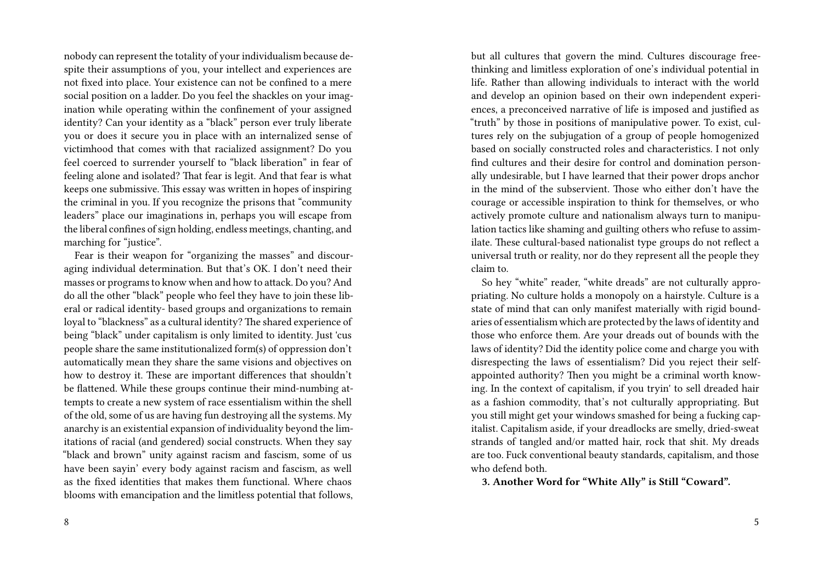nobody can represent the totality of your individualism because despite their assumptions of you, your intellect and experiences are not fixed into place. Your existence can not be confined to a mere social position on a ladder. Do you feel the shackles on your imagination while operating within the confinement of your assigned identity? Can your identity as a "black" person ever truly liberate you or does it secure you in place with an internalized sense of victimhood that comes with that racialized assignment? Do you feel coerced to surrender yourself to "black liberation" in fear of feeling alone and isolated? That fear is legit. And that fear is what keeps one submissive. This essay was written in hopes of inspiring the criminal in you. If you recognize the prisons that "community leaders" place our imaginations in, perhaps you will escape from the liberal confines of sign holding, endless meetings, chanting, and marching for "justice".

Fear is their weapon for "organizing the masses" and discouraging individual determination. But that's OK. I don't need their masses or programs to know when and how to attack. Do you? And do all the other "black" people who feel they have to join these liberal or radical identity- based groups and organizations to remain loyal to "blackness" as a cultural identity? The shared experience of being "black" under capitalism is only limited to identity. Just 'cus people share the same institutionalized form(s) of oppression don't automatically mean they share the same visions and objectives on how to destroy it. These are important differences that shouldn't be flattened. While these groups continue their mind-numbing attempts to create a new system of race essentialism within the shell of the old, some of us are having fun destroying all the systems. My anarchy is an existential expansion of individuality beyond the limitations of racial (and gendered) social constructs. When they say "black and brown" unity against racism and fascism, some of us have been sayin' every body against racism and fascism, as well as the fixed identities that makes them functional. Where chaos blooms with emancipation and the limitless potential that follows, but all cultures that govern the mind. Cultures discourage freethinking and limitless exploration of one's individual potential in life. Rather than allowing individuals to interact with the world and develop an opinion based on their own independent experiences, a preconceived narrative of life is imposed and justified as "truth" by those in positions of manipulative power. To exist, cultures rely on the subjugation of a group of people homogenized based on socially constructed roles and characteristics. I not only find cultures and their desire for control and domination personally undesirable, but I have learned that their power drops anchor in the mind of the subservient. Those who either don't have the courage or accessible inspiration to think for themselves, or who actively promote culture and nationalism always turn to manipulation tactics like shaming and guilting others who refuse to assimilate. These cultural-based nationalist type groups do not reflect a universal truth or reality, nor do they represent all the people they claim to.

So hey "white" reader, "white dreads" are not culturally appropriating. No culture holds a monopoly on a hairstyle. Culture is a state of mind that can only manifest materially with rigid boundaries of essentialism which are protected by the laws of identity and those who enforce them. Are your dreads out of bounds with the laws of identity? Did the identity police come and charge you with disrespecting the laws of essentialism? Did you reject their selfappointed authority? Then you might be a criminal worth knowing. In the context of capitalism, if you tryin' to sell dreaded hair as a fashion commodity, that's not culturally appropriating. But you still might get your windows smashed for being a fucking capitalist. Capitalism aside, if your dreadlocks are smelly, dried-sweat strands of tangled and/or matted hair, rock that shit. My dreads are too. Fuck conventional beauty standards, capitalism, and those who defend both.

**3. Another Word for "White Ally" is Still "Coward".**